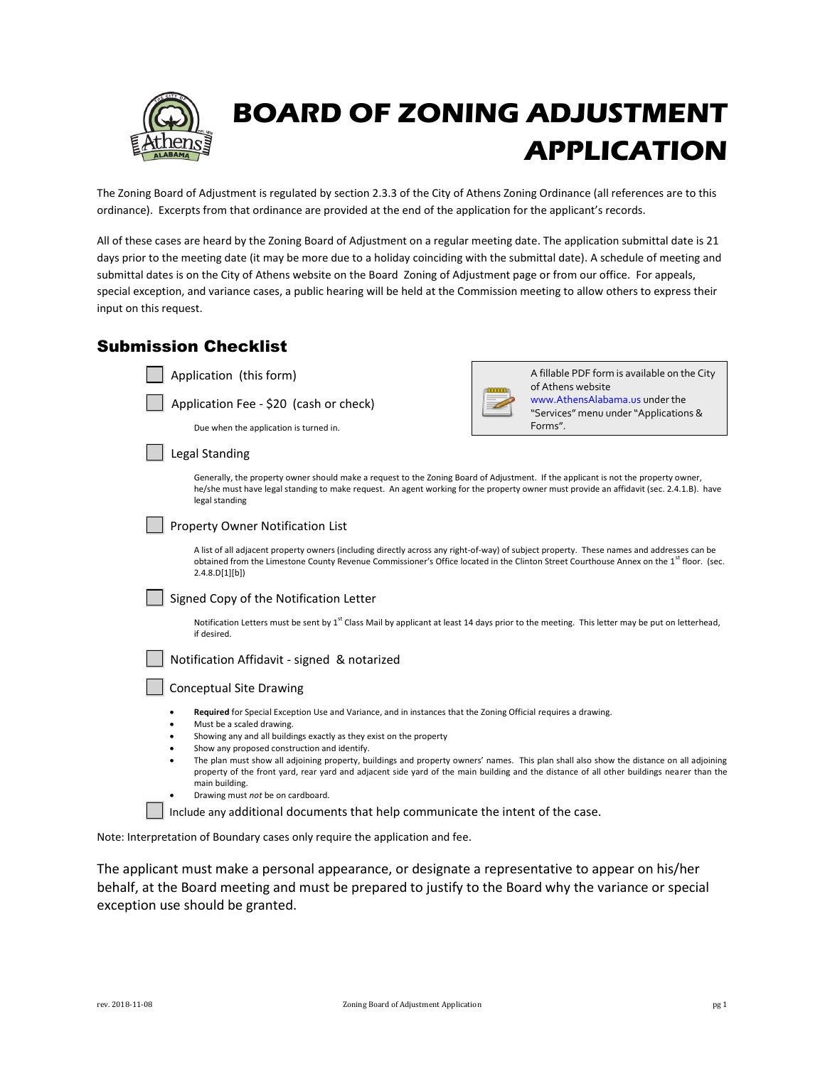

The Zoning Board of Adjustment is regulated by section 2.3.3 of the City of Athens Zoning Ordinance (all references are to this ordinance). Excerpts from that ordinance are provided at the end of the application for the applicant's records.

All of these cases are heard by the Zoning Board of Adjustment on a regular meeting date. The application submittal date is 21 days prior to the meeting date (it may be more due to a holiday coinciding with the submittal date). A schedule of meeting and submittal dates is on the City of Athens website on the Board Zoning of Adjustment page or from our office. For appeals, special exception, and variance cases, a public hearing will be held at the Commission meeting to allow others to express their input on this request.

| <b>Submission Checklist</b> |  |
|-----------------------------|--|
|                             |  |

| Application (this form)                                                                                                                                                                                                                                                                                           | A fillable PDF form is available on the City<br>of Athens website       |
|-------------------------------------------------------------------------------------------------------------------------------------------------------------------------------------------------------------------------------------------------------------------------------------------------------------------|-------------------------------------------------------------------------|
| Application Fee - \$20 (cash or check)                                                                                                                                                                                                                                                                            | www.AthensAlabama.us under the<br>"Services" menu under "Applications & |
| Due when the application is turned in.                                                                                                                                                                                                                                                                            | Forms".                                                                 |
| Legal Standing                                                                                                                                                                                                                                                                                                    |                                                                         |
| Generally, the property owner should make a request to the Zoning Board of Adjustment. If the applicant is not the property owner,<br>he/she must have legal standing to make request. An agent working for the property owner must provide an affidavit (sec. 2.4.1.B). have<br>legal standing                   |                                                                         |
| Property Owner Notification List                                                                                                                                                                                                                                                                                  |                                                                         |
| A list of all adjacent property owners (including directly across any right-of-way) of subject property. These names and addresses can be<br>obtained from the Limestone County Revenue Commissioner's Office located in the Clinton Street Courthouse Annex on the 1 <sup>st</sup> floor. (sec.<br>2.4.8.D[1][b] |                                                                         |
| Signed Copy of the Notification Letter                                                                                                                                                                                                                                                                            |                                                                         |
| Notification Letters must be sent by 1 <sup>st</sup> Class Mail by applicant at least 14 days prior to the meeting. This letter may be put on letterhead,<br>if desired.                                                                                                                                          |                                                                         |
| Notification Affidavit - signed & notarized                                                                                                                                                                                                                                                                       |                                                                         |
| <b>Conceptual Site Drawing</b>                                                                                                                                                                                                                                                                                    |                                                                         |
| Required for Special Exception Use and Variance, and in instances that the Zoning Official requires a drawing.                                                                                                                                                                                                    |                                                                         |
| Must be a scaled drawing.<br>٠<br>Showing any and all buildings exactly as they exist on the property<br>٠                                                                                                                                                                                                        |                                                                         |
| Show any proposed construction and identify.<br>٠                                                                                                                                                                                                                                                                 |                                                                         |
| The plan must show all adjoining property, buildings and property owners' names. This plan shall also show the distance on all adjoining<br>٠<br>property of the front yard, rear yard and adjacent side yard of the main building and the distance of all other buildings nearer than the<br>main building.      |                                                                         |
| $\sim$ $\sim$ $\sim$<br>$\cdots$                                                                                                                                                                                                                                                                                  |                                                                         |

Drawing must *not* be on cardboard.

Include any additional documents that help communicate the intent of the case.

Note: Interpretation of Boundary cases only require the application and fee.

The applicant must make a personal appearance, or designate a representative to appear on his/her behalf, at the Board meeting and must be prepared to justify to the Board why the variance or special exception use should be granted.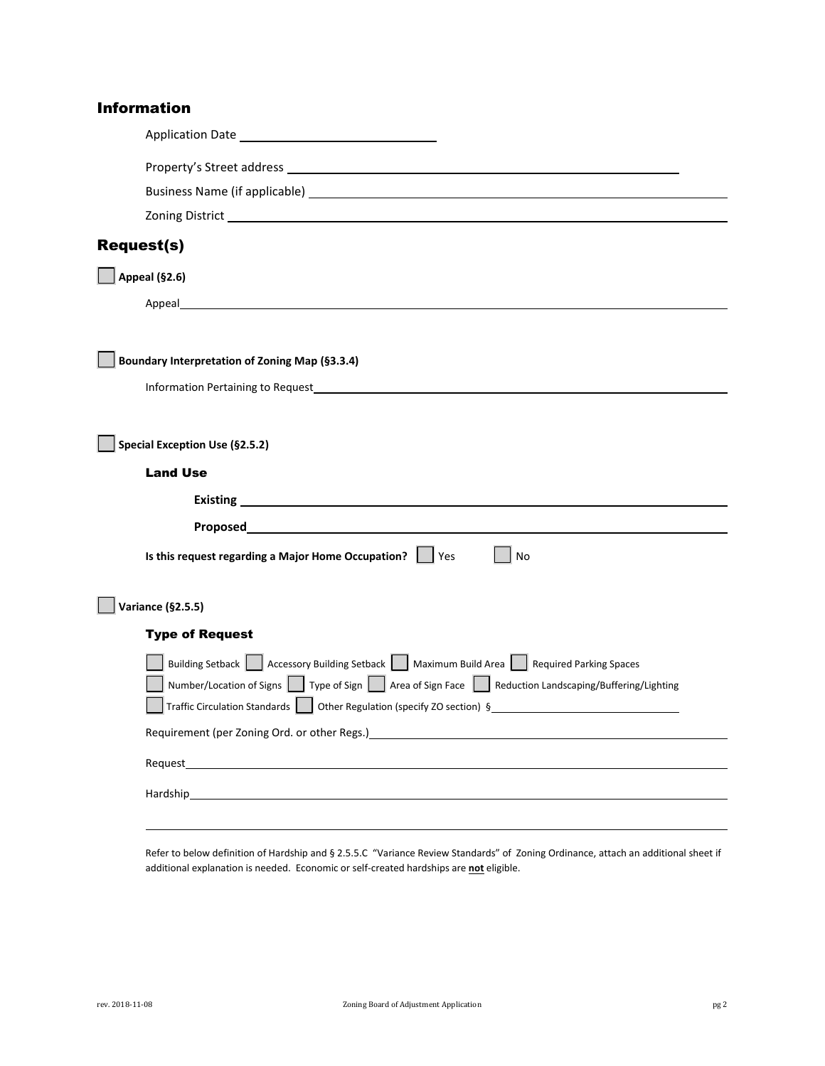## Information

| <b>Request(s)</b>                                                                                                                                                                                                                                                                                                                       |
|-----------------------------------------------------------------------------------------------------------------------------------------------------------------------------------------------------------------------------------------------------------------------------------------------------------------------------------------|
| Appeal (§2.6)                                                                                                                                                                                                                                                                                                                           |
| Appeal and the contract of the contract of the contract of the contract of the contract of the contract of the                                                                                                                                                                                                                          |
| Boundary Interpretation of Zoning Map (§3.3.4)                                                                                                                                                                                                                                                                                          |
| Special Exception Use (§2.5.2)<br><b>Land Use</b>                                                                                                                                                                                                                                                                                       |
|                                                                                                                                                                                                                                                                                                                                         |
|                                                                                                                                                                                                                                                                                                                                         |
| Is this request regarding a Major Home Occupation?<br>l Yes<br>No                                                                                                                                                                                                                                                                       |
| <b>Variance (§2.5.5)</b>                                                                                                                                                                                                                                                                                                                |
| <b>Type of Request</b>                                                                                                                                                                                                                                                                                                                  |
| Building Setback     Accessory Building Setback     Maximum Build Area     Required Parking Spaces<br>Number/Location of Signs Type of Sign Sign Area of Sign Face Reduction Landscaping/Buffering/Lighting<br>Traffic Circulation Standards   Other Regulation (specify ZO section) §<br>Requirement (per Zoning Ord. or other Regs.)_ |
| Request_                                                                                                                                                                                                                                                                                                                                |
| Hardship                                                                                                                                                                                                                                                                                                                                |
|                                                                                                                                                                                                                                                                                                                                         |

Refer to below definition of Hardship and § 2.5.5.C "Variance Review Standards" of Zoning Ordinance, attach an additional sheet if additional explanation is needed. Economic or self-created hardships are **not** eligible.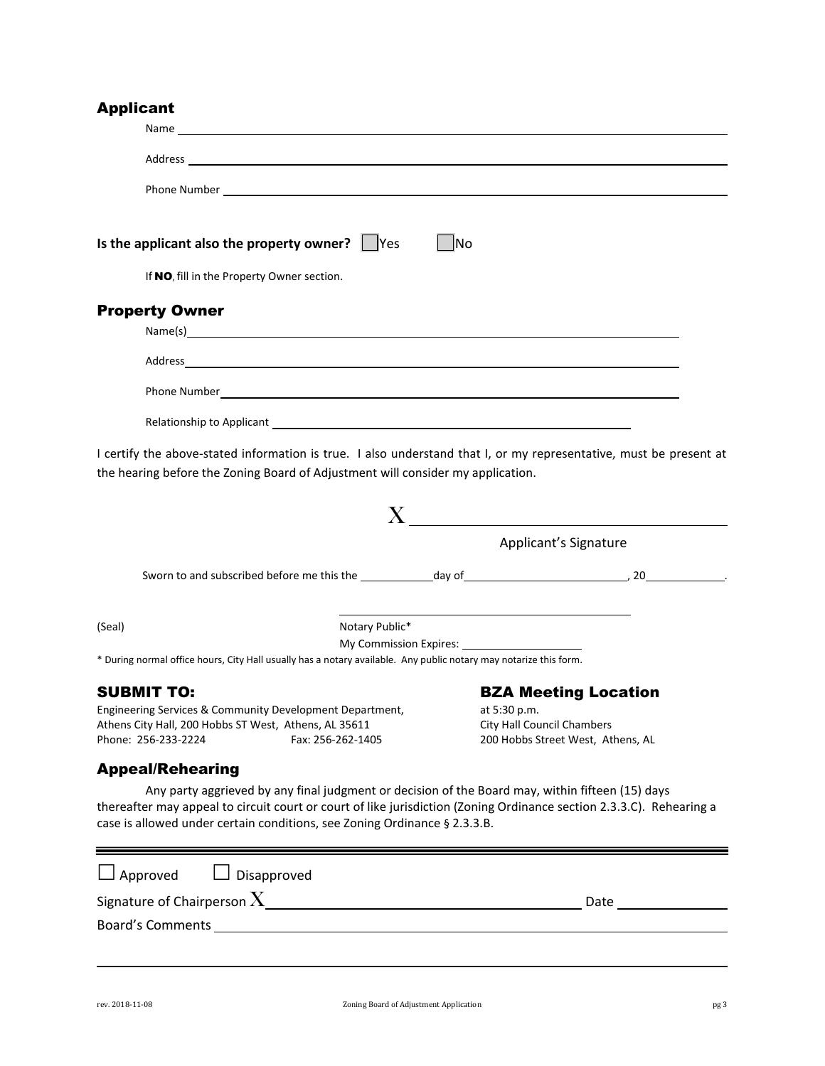### **Annlicant**

|                                                                                                                                                                                                                                                         | Phone Number <u>Communications</u> and the communications of the communications of the communications of the communications of the communications of the communications of the communications of the communications of the communic |  |
|---------------------------------------------------------------------------------------------------------------------------------------------------------------------------------------------------------------------------------------------------------|-------------------------------------------------------------------------------------------------------------------------------------------------------------------------------------------------------------------------------------|--|
| Is the applicant also the property owner? $\Box$ Yes                                                                                                                                                                                                    | $\Box$ No                                                                                                                                                                                                                           |  |
| If NO, fill in the Property Owner section.                                                                                                                                                                                                              |                                                                                                                                                                                                                                     |  |
| <b>Property Owner</b><br>Name(s) and the contract of the contract of the contract of the contract of the contract of the contract of the contract of the contract of the contract of the contract of the contract of the contract of the contract of th |                                                                                                                                                                                                                                     |  |
|                                                                                                                                                                                                                                                         |                                                                                                                                                                                                                                     |  |
|                                                                                                                                                                                                                                                         |                                                                                                                                                                                                                                     |  |
|                                                                                                                                                                                                                                                         |                                                                                                                                                                                                                                     |  |
| the hearing before the Zoning Board of Adjustment will consider my application.                                                                                                                                                                         | I certify the above-stated information is true. I also understand that I, or my representative, must be present at                                                                                                                  |  |
|                                                                                                                                                                                                                                                         |                                                                                                                                                                                                                                     |  |
|                                                                                                                                                                                                                                                         | Applicant's Signature                                                                                                                                                                                                               |  |
|                                                                                                                                                                                                                                                         |                                                                                                                                                                                                                                     |  |
| Notary Public*<br>(Seal)                                                                                                                                                                                                                                | <u> 1989 - Johann John Stone, markin fizik eta idazlearia (h. 1989).</u>                                                                                                                                                            |  |
| * During normal office hours, City Hall usually has a notary available. Any public notary may notarize this form.                                                                                                                                       |                                                                                                                                                                                                                                     |  |
|                                                                                                                                                                                                                                                         |                                                                                                                                                                                                                                     |  |
| <b>SUBMIT TO:</b><br>Engineering Services & Community Development Department,<br>Athens City Hall, 200 Hobbs ST West, Athens, AL 35611<br>Phone: 256-233-2224<br>Fax: 256-262-1405                                                                      | <b>BZA Meeting Location</b><br>at 5:30 p.m.<br><b>City Hall Council Chambers</b><br>200 Hobbs Street West, Athens, AL                                                                                                               |  |
| <b>Appeal/Rehearing</b>                                                                                                                                                                                                                                 |                                                                                                                                                                                                                                     |  |
| case is allowed under certain conditions, see Zoning Ordinance § 2.3.3.B.                                                                                                                                                                               | Any party aggrieved by any final judgment or decision of the Board may, within fifteen (15) days<br>thereafter may appeal to circuit court or court of like jurisdiction (Zoning Ordinance section 2.3.3.C). Rehearing a            |  |

| $\Box$ Approved $\Box$ Disapproved |      |
|------------------------------------|------|
| Signature of Chairperson ${\bf X}$ | Date |
| <b>Board's Comments</b>            |      |
|                                    |      |

 $\equiv$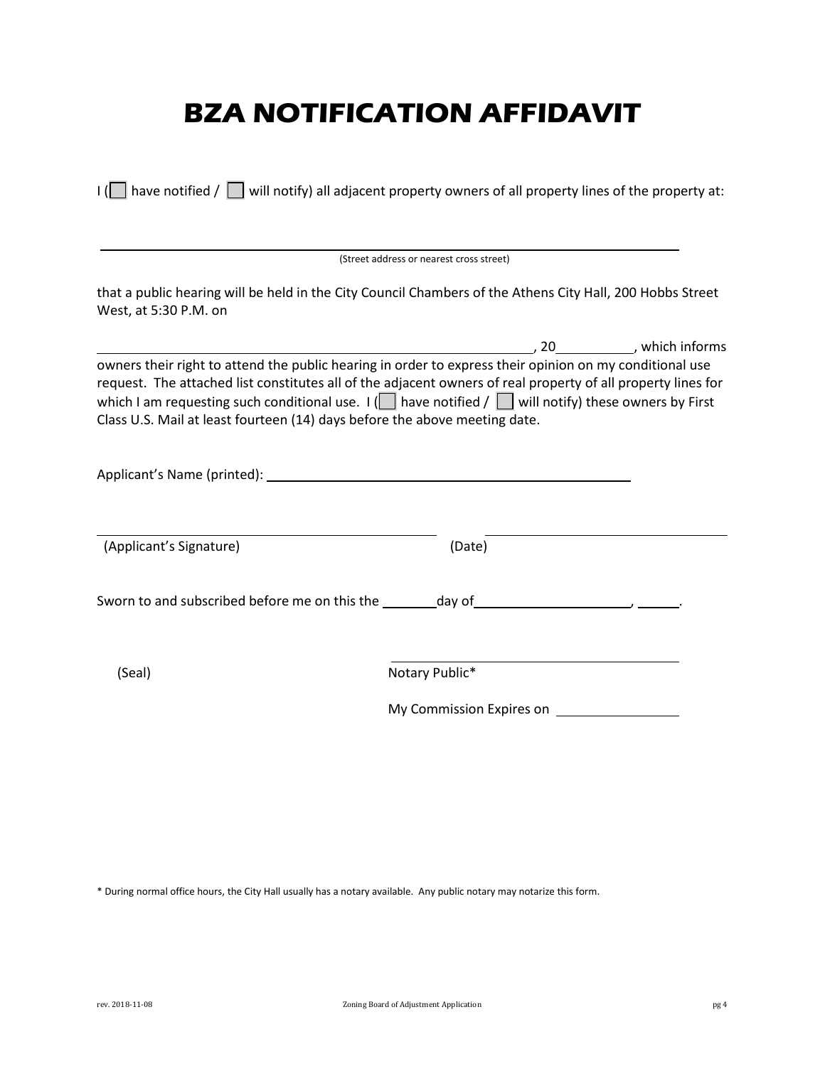# **BZA NOTIFICATION AFFIDAVIT**

|                         | (Street address or nearest cross street)                                                                                                                                                                                                                                                                                                                                                                                 |
|-------------------------|--------------------------------------------------------------------------------------------------------------------------------------------------------------------------------------------------------------------------------------------------------------------------------------------------------------------------------------------------------------------------------------------------------------------------|
| West, at 5:30 P.M. on   | that a public hearing will be held in the City Council Chambers of the Athens City Hall, 200 Hobbs Street                                                                                                                                                                                                                                                                                                                |
|                         | $\sim$ , which informs and $\sim$ , $\sim$ , $\sim$ , $\sim$ , $\sim$ , $\sim$ , which informs                                                                                                                                                                                                                                                                                                                           |
|                         | owners their right to attend the public hearing in order to express their opinion on my conditional use<br>request. The attached list constitutes all of the adjacent owners of real property of all property lines for<br>which I am requesting such conditional use. $I(\Box)$ have notified / $\Box$ will notify) these owners by First<br>Class U.S. Mail at least fourteen (14) days before the above meeting date. |
|                         |                                                                                                                                                                                                                                                                                                                                                                                                                          |
|                         |                                                                                                                                                                                                                                                                                                                                                                                                                          |
| (Applicant's Signature) | (Date)                                                                                                                                                                                                                                                                                                                                                                                                                   |
|                         |                                                                                                                                                                                                                                                                                                                                                                                                                          |
| (Seal)                  | Notary Public*                                                                                                                                                                                                                                                                                                                                                                                                           |

\* During normal office hours, the City Hall usually has a notary available. Any public notary may notarize this form.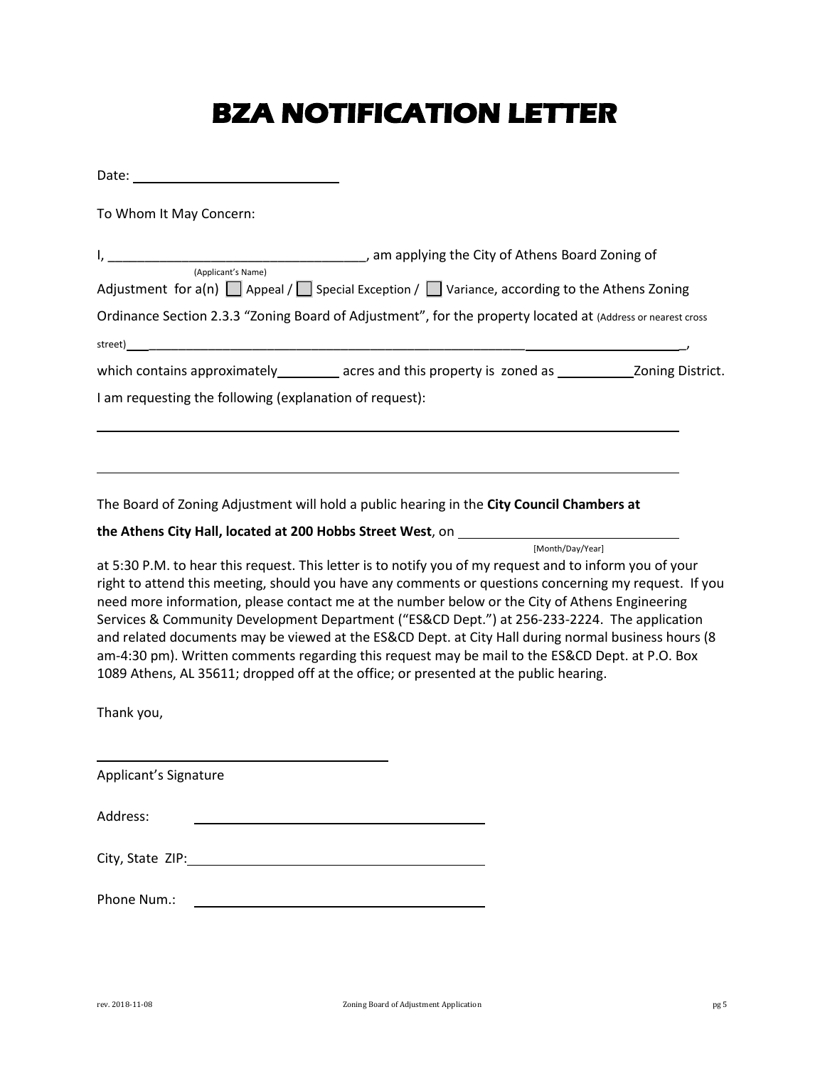## **BZA NOTIFICATION LETTER**

| To Whom It May Concern:                                                                                                                                                                                                                                                                                                                                                                                                                                                                                                                                                                                                                                                                                               |
|-----------------------------------------------------------------------------------------------------------------------------------------------------------------------------------------------------------------------------------------------------------------------------------------------------------------------------------------------------------------------------------------------------------------------------------------------------------------------------------------------------------------------------------------------------------------------------------------------------------------------------------------------------------------------------------------------------------------------|
|                                                                                                                                                                                                                                                                                                                                                                                                                                                                                                                                                                                                                                                                                                                       |
| (Applicant's Name)<br>Adjustment for $a(n)$ $\Box$ Appeal / $\Box$ Special Exception / $\Box$ Variance, according to the Athens Zoning                                                                                                                                                                                                                                                                                                                                                                                                                                                                                                                                                                                |
| Ordinance Section 2.3.3 "Zoning Board of Adjustment", for the property located at (Address or nearest cross                                                                                                                                                                                                                                                                                                                                                                                                                                                                                                                                                                                                           |
|                                                                                                                                                                                                                                                                                                                                                                                                                                                                                                                                                                                                                                                                                                                       |
| which contains approximately __________ acres and this property is zoned as ______________ Zoning District.                                                                                                                                                                                                                                                                                                                                                                                                                                                                                                                                                                                                           |
| I am requesting the following (explanation of request):                                                                                                                                                                                                                                                                                                                                                                                                                                                                                                                                                                                                                                                               |
| The Board of Zoning Adjustment will hold a public hearing in the City Council Chambers at                                                                                                                                                                                                                                                                                                                                                                                                                                                                                                                                                                                                                             |
|                                                                                                                                                                                                                                                                                                                                                                                                                                                                                                                                                                                                                                                                                                                       |
| [Month/Dav/Year]                                                                                                                                                                                                                                                                                                                                                                                                                                                                                                                                                                                                                                                                                                      |
| at 5:30 P.M. to hear this request. This letter is to notify you of my request and to inform you of your<br>right to attend this meeting, should you have any comments or questions concerning my request. If you<br>need more information, please contact me at the number below or the City of Athens Engineering<br>Services & Community Development Department ("ES&CD Dept.") at 256-233-2224. The application<br>and related documents may be viewed at the ES&CD Dept. at City Hall during normal business hours (8<br>am-4:30 pm). Written comments regarding this request may be mail to the ES&CD Dept. at P.O. Box<br>1089 Athens, AL 35611; dropped off at the office; or presented at the public hearing. |
| Thank you,                                                                                                                                                                                                                                                                                                                                                                                                                                                                                                                                                                                                                                                                                                            |

Applicant's Signature Address: <u> 1980 - Johann Barnett, fransk politik (d. 1980)</u> City, State ZIP: Phone Num.: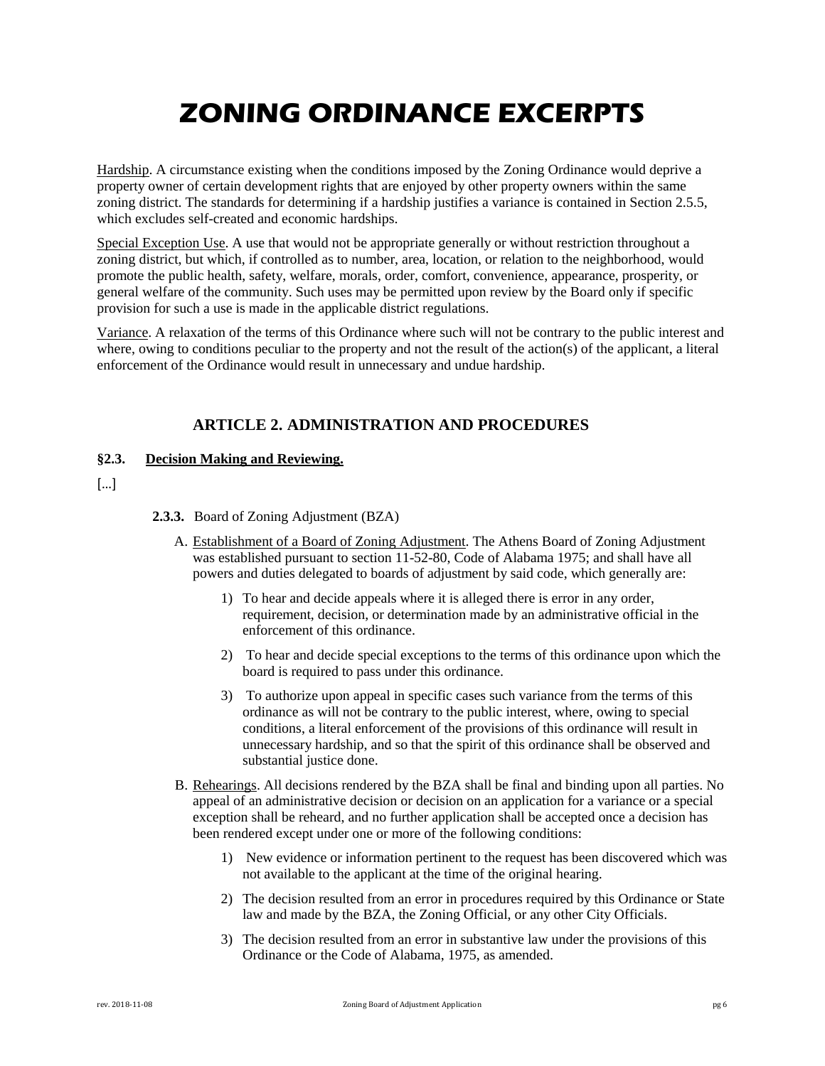## **ZONING ORDINANCE EXCERPTS**

Hardship. A circumstance existing when the conditions imposed by the Zoning Ordinance would deprive a property owner of certain development rights that are enjoyed by other property owners within the same zoning district. The standards for determining if a hardship justifies a variance is contained in Section 2.5.5, which excludes self-created and economic hardships.

Special Exception Use. A use that would not be appropriate generally or without restriction throughout a zoning district, but which, if controlled as to number, area, location, or relation to the neighborhood, would promote the public health, safety, welfare, morals, order, comfort, convenience, appearance, prosperity, or general welfare of the community. Such uses may be permitted upon review by the Board only if specific provision for such a use is made in the applicable district regulations.

Variance. A relaxation of the terms of this Ordinance where such will not be contrary to the public interest and where, owing to conditions peculiar to the property and not the result of the action(s) of the applicant, a literal enforcement of the Ordinance would result in unnecessary and undue hardship.

### **ARTICLE 2. ADMINISTRATION AND PROCEDURES**

### **§2.3. Decision Making and Reviewing.**

 $\lceil$ ...]

### **2.3.3.** Board of Zoning Adjustment (BZA)

- A. Establishment of a Board of Zoning Adjustment. The Athens Board of Zoning Adjustment was established pursuant to section 11-52-80, Code of Alabama 1975; and shall have all powers and duties delegated to boards of adjustment by said code, which generally are:
	- 1) To hear and decide appeals where it is alleged there is error in any order, requirement, decision, or determination made by an administrative official in the enforcement of this ordinance.
	- 2) To hear and decide special exceptions to the terms of this ordinance upon which the board is required to pass under this ordinance.
	- 3) To authorize upon appeal in specific cases such variance from the terms of this ordinance as will not be contrary to the public interest, where, owing to special conditions, a literal enforcement of the provisions of this ordinance will result in unnecessary hardship, and so that the spirit of this ordinance shall be observed and substantial justice done.
- B. Rehearings. All decisions rendered by the BZA shall be final and binding upon all parties. No appeal of an administrative decision or decision on an application for a variance or a special exception shall be reheard, and no further application shall be accepted once a decision has been rendered except under one or more of the following conditions:
	- 1) New evidence or information pertinent to the request has been discovered which was not available to the applicant at the time of the original hearing.
	- 2) The decision resulted from an error in procedures required by this Ordinance or State law and made by the BZA, the Zoning Official, or any other City Officials.
	- 3) The decision resulted from an error in substantive law under the provisions of this Ordinance or the Code of Alabama, 1975, as amended.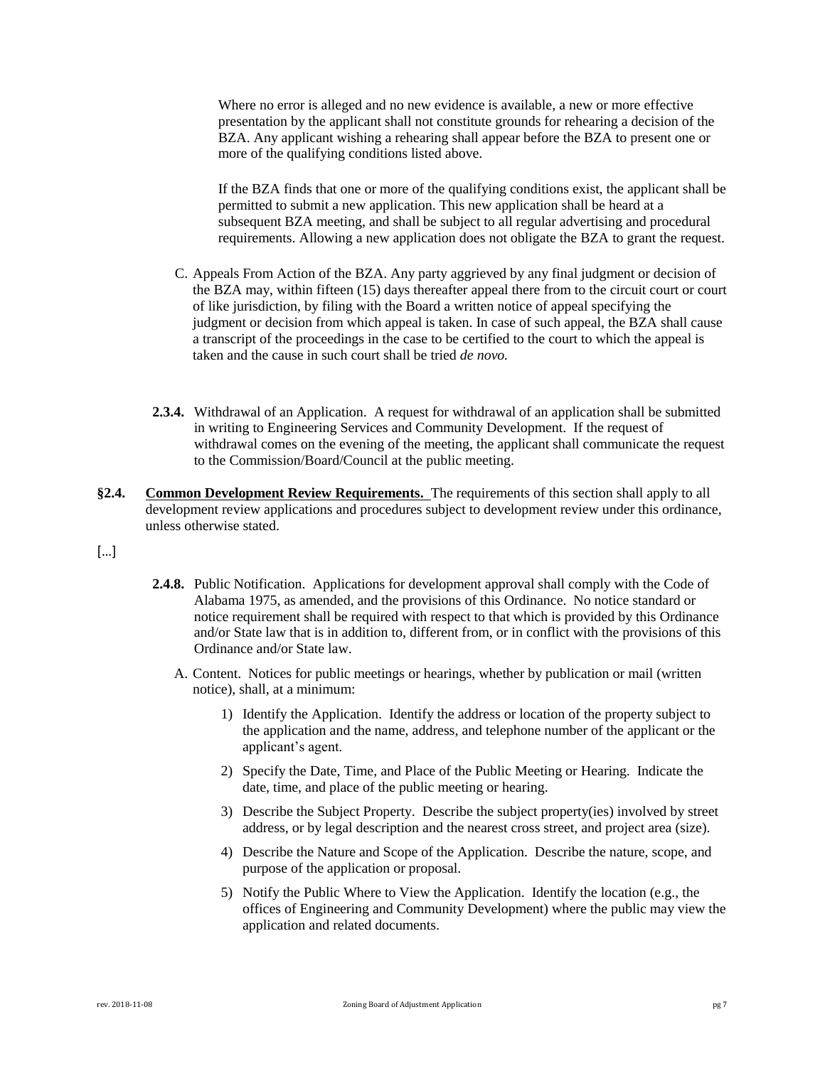Where no error is alleged and no new evidence is available, a new or more effective presentation by the applicant shall not constitute grounds for rehearing a decision of the BZA. Any applicant wishing a rehearing shall appear before the BZA to present one or more of the qualifying conditions listed above.

If the BZA finds that one or more of the qualifying conditions exist, the applicant shall be permitted to submit a new application. This new application shall be heard at a subsequent BZA meeting, and shall be subject to all regular advertising and procedural requirements. Allowing a new application does not obligate the BZA to grant the request.

- C. Appeals From Action of the BZA. Any party aggrieved by any final judgment or decision of the BZA may, within fifteen (15) days thereafter appeal there from to the circuit court or court of like jurisdiction, by filing with the Board a written notice of appeal specifying the judgment or decision from which appeal is taken. In case of such appeal, the BZA shall cause a transcript of the proceedings in the case to be certified to the court to which the appeal is taken and the cause in such court shall be tried *de novo.*
- **2.3.4.** Withdrawal of an Application. A request for withdrawal of an application shall be submitted in writing to Engineering Services and Community Development. If the request of withdrawal comes on the evening of the meeting, the applicant shall communicate the request to the Commission/Board/Council at the public meeting.
- **§2.4. Common Development Review Requirements.** The requirements of this section shall apply to all development review applications and procedures subject to development review under this ordinance, unless otherwise stated.
- […]
- **2.4.8.** Public Notification. Applications for development approval shall comply with the Code of Alabama 1975, as amended, and the provisions of this Ordinance. No notice standard or notice requirement shall be required with respect to that which is provided by this Ordinance and/or State law that is in addition to, different from, or in conflict with the provisions of this Ordinance and/or State law.
	- A. Content. Notices for public meetings or hearings, whether by publication or mail (written notice), shall, at a minimum:
		- 1) Identify the Application. Identify the address or location of the property subject to the application and the name, address, and telephone number of the applicant or the applicant's agent.
		- 2) Specify the Date, Time, and Place of the Public Meeting or Hearing. Indicate the date, time, and place of the public meeting or hearing.
		- 3) Describe the Subject Property. Describe the subject property(ies) involved by street address, or by legal description and the nearest cross street, and project area (size).
		- 4) Describe the Nature and Scope of the Application. Describe the nature, scope, and purpose of the application or proposal.
		- 5) Notify the Public Where to View the Application. Identify the location (e.g., the offices of Engineering and Community Development) where the public may view the application and related documents.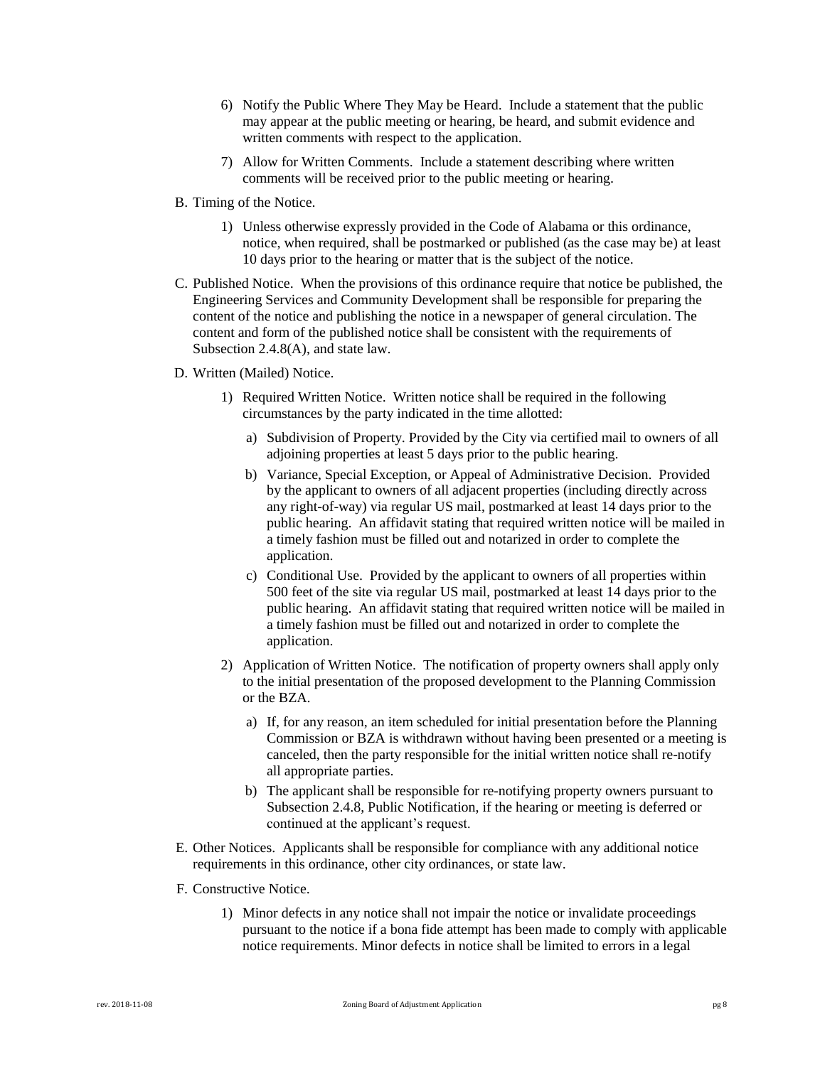- 6) Notify the Public Where They May be Heard. Include a statement that the public may appear at the public meeting or hearing, be heard, and submit evidence and written comments with respect to the application.
- 7) Allow for Written Comments. Include a statement describing where written comments will be received prior to the public meeting or hearing.
- B. Timing of the Notice.
	- 1) Unless otherwise expressly provided in the Code of Alabama or this ordinance, notice, when required, shall be postmarked or published (as the case may be) at least 10 days prior to the hearing or matter that is the subject of the notice.
- C. Published Notice. When the provisions of this ordinance require that notice be published, the Engineering Services and Community Development shall be responsible for preparing the content of the notice and publishing the notice in a newspaper of general circulation. The content and form of the published notice shall be consistent with the requirements of Subsection 2.4.8(A), and state law.
- D. Written (Mailed) Notice.
	- 1) Required Written Notice. Written notice shall be required in the following circumstances by the party indicated in the time allotted:
		- a) Subdivision of Property. Provided by the City via certified mail to owners of all adjoining properties at least 5 days prior to the public hearing.
		- b) Variance, Special Exception, or Appeal of Administrative Decision. Provided by the applicant to owners of all adjacent properties (including directly across any right-of-way) via regular US mail, postmarked at least 14 days prior to the public hearing. An affidavit stating that required written notice will be mailed in a timely fashion must be filled out and notarized in order to complete the application.
		- c) Conditional Use. Provided by the applicant to owners of all properties within 500 feet of the site via regular US mail, postmarked at least 14 days prior to the public hearing. An affidavit stating that required written notice will be mailed in a timely fashion must be filled out and notarized in order to complete the application.
	- 2) Application of Written Notice. The notification of property owners shall apply only to the initial presentation of the proposed development to the Planning Commission or the BZA.
		- a) If, for any reason, an item scheduled for initial presentation before the Planning Commission or BZA is withdrawn without having been presented or a meeting is canceled, then the party responsible for the initial written notice shall re-notify all appropriate parties.
		- b) The applicant shall be responsible for re-notifying property owners pursuant to Subsection 2.4.8, Public Notification, if the hearing or meeting is deferred or continued at the applicant's request.
- E. Other Notices. Applicants shall be responsible for compliance with any additional notice requirements in this ordinance, other city ordinances, or state law.
- F. Constructive Notice.
	- 1) Minor defects in any notice shall not impair the notice or invalidate proceedings pursuant to the notice if a bona fide attempt has been made to comply with applicable notice requirements. Minor defects in notice shall be limited to errors in a legal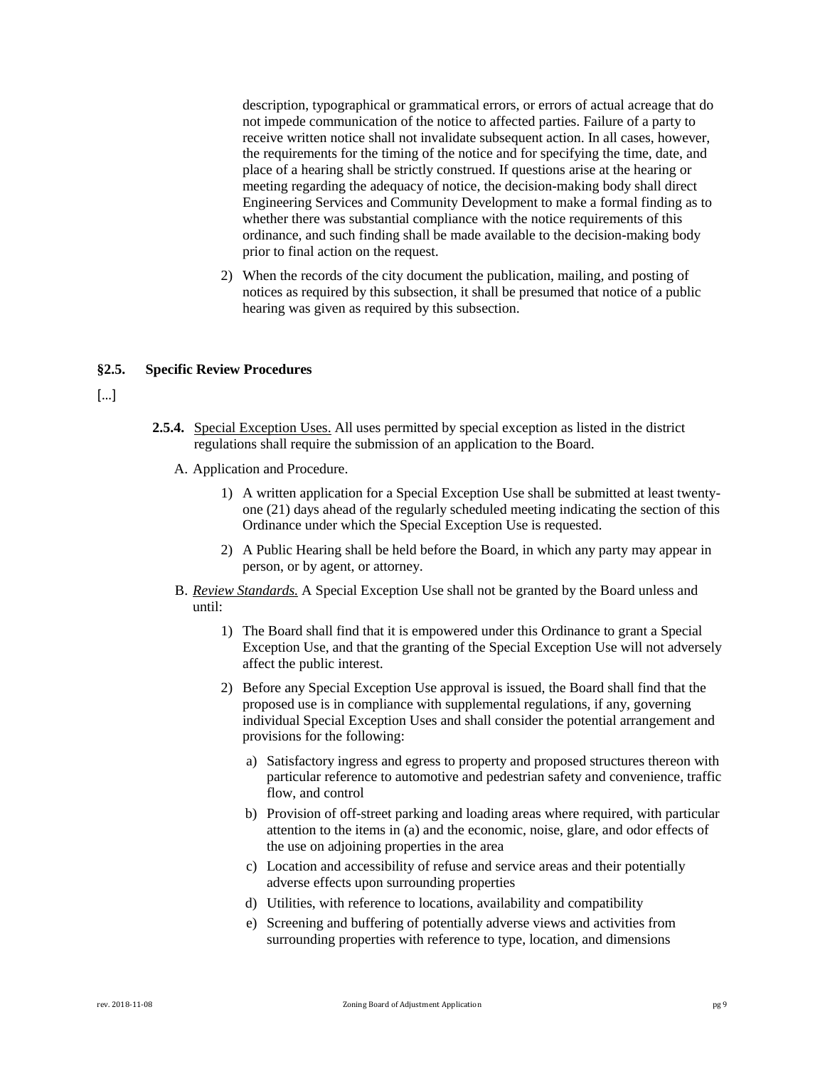description, typographical or grammatical errors, or errors of actual acreage that do not impede communication of the notice to affected parties. Failure of a party to receive written notice shall not invalidate subsequent action. In all cases, however, the requirements for the timing of the notice and for specifying the time, date, and place of a hearing shall be strictly construed. If questions arise at the hearing or meeting regarding the adequacy of notice, the decision-making body shall direct Engineering Services and Community Development to make a formal finding as to whether there was substantial compliance with the notice requirements of this ordinance, and such finding shall be made available to the decision-making body prior to final action on the request.

2) When the records of the city document the publication, mailing, and posting of notices as required by this subsection, it shall be presumed that notice of a public hearing was given as required by this subsection.

#### **§2.5. Specific Review Procedures**

[…]

- **2.5.4.** Special Exception Uses. All uses permitted by special exception as listed in the district regulations shall require the submission of an application to the Board.
	- A. Application and Procedure.
		- 1) A written application for a Special Exception Use shall be submitted at least twentyone (21) days ahead of the regularly scheduled meeting indicating the section of this Ordinance under which the Special Exception Use is requested.
		- 2) A Public Hearing shall be held before the Board, in which any party may appear in person, or by agent, or attorney.
	- B. *Review Standards.* A Special Exception Use shall not be granted by the Board unless and until:
		- 1) The Board shall find that it is empowered under this Ordinance to grant a Special Exception Use, and that the granting of the Special Exception Use will not adversely affect the public interest.
		- 2) Before any Special Exception Use approval is issued, the Board shall find that the proposed use is in compliance with supplemental regulations, if any, governing individual Special Exception Uses and shall consider the potential arrangement and provisions for the following:
			- a) Satisfactory ingress and egress to property and proposed structures thereon with particular reference to automotive and pedestrian safety and convenience, traffic flow, and control
			- b) Provision of off-street parking and loading areas where required, with particular attention to the items in (a) and the economic, noise, glare, and odor effects of the use on adjoining properties in the area
			- c) Location and accessibility of refuse and service areas and their potentially adverse effects upon surrounding properties
			- d) Utilities, with reference to locations, availability and compatibility
			- e) Screening and buffering of potentially adverse views and activities from surrounding properties with reference to type, location, and dimensions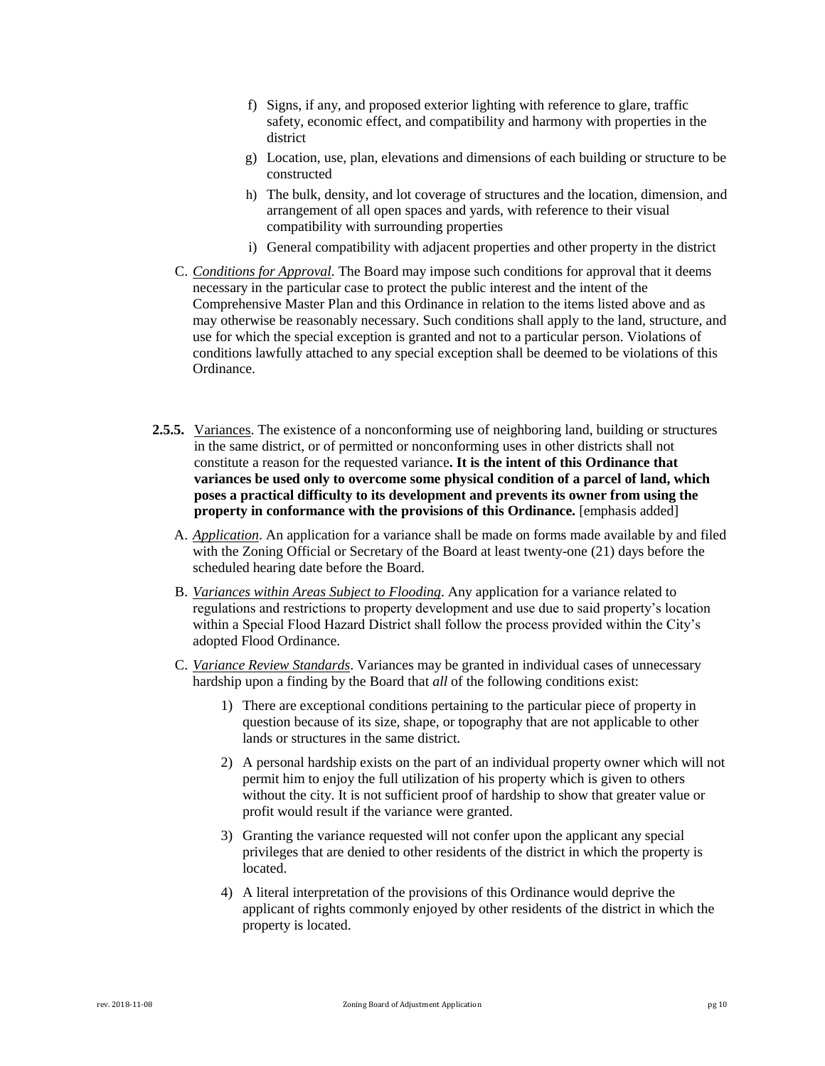- f) Signs, if any, and proposed exterior lighting with reference to glare, traffic safety, economic effect, and compatibility and harmony with properties in the district
- g) Location, use, plan, elevations and dimensions of each building or structure to be constructed
- h) The bulk, density, and lot coverage of structures and the location, dimension, and arrangement of all open spaces and yards, with reference to their visual compatibility with surrounding properties
- i) General compatibility with adjacent properties and other property in the district
- C. *Conditions for Approval*. The Board may impose such conditions for approval that it deems necessary in the particular case to protect the public interest and the intent of the Comprehensive Master Plan and this Ordinance in relation to the items listed above and as may otherwise be reasonably necessary. Such conditions shall apply to the land, structure, and use for which the special exception is granted and not to a particular person. Violations of conditions lawfully attached to any special exception shall be deemed to be violations of this Ordinance.
- **2.5.5.** Variances. The existence of a nonconforming use of neighboring land, building or structures in the same district, or of permitted or nonconforming uses in other districts shall not constitute a reason for the requested variance**. It is the intent of this Ordinance that variances be used only to overcome some physical condition of a parcel of land, which poses a practical difficulty to its development and prevents its owner from using the property in conformance with the provisions of this Ordinance.** [emphasis added]
	- A. *Application*. An application for a variance shall be made on forms made available by and filed with the Zoning Official or Secretary of the Board at least twenty-one (21) days before the scheduled hearing date before the Board.
	- B. *Variances within Areas Subject to Flooding*. Any application for a variance related to regulations and restrictions to property development and use due to said property's location within a Special Flood Hazard District shall follow the process provided within the City's adopted Flood Ordinance.
	- C. *Variance Review Standards*. Variances may be granted in individual cases of unnecessary hardship upon a finding by the Board that *all* of the following conditions exist:
		- 1) There are exceptional conditions pertaining to the particular piece of property in question because of its size, shape, or topography that are not applicable to other lands or structures in the same district.
		- 2) A personal hardship exists on the part of an individual property owner which will not permit him to enjoy the full utilization of his property which is given to others without the city. It is not sufficient proof of hardship to show that greater value or profit would result if the variance were granted.
		- 3) Granting the variance requested will not confer upon the applicant any special privileges that are denied to other residents of the district in which the property is located.
		- 4) A literal interpretation of the provisions of this Ordinance would deprive the applicant of rights commonly enjoyed by other residents of the district in which the property is located.